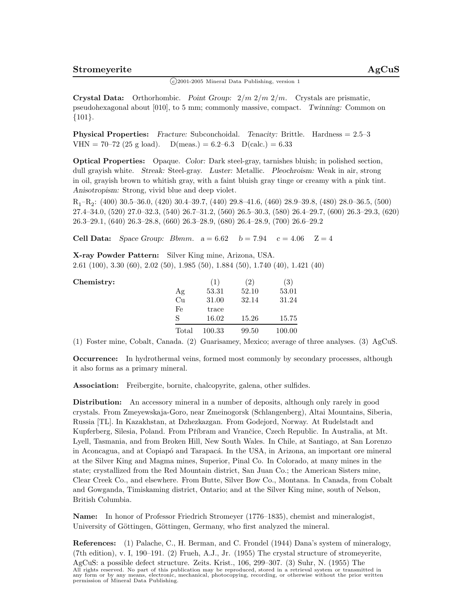$\binom{c}{2001-2005}$  Mineral Data Publishing, version 1

**Crystal Data:** Orthorhombic. *Point Group:* 2*/m* 2*/m* 2*/m.* Crystals are prismatic, pseudohexagonal about [010], to 5 mm; commonly massive, compact. *Twinning:* Common on {101}.

**Physical Properties:** *Fracture:* Subconchoidal. *Tenacity:* Brittle. Hardness = 2.5–3 VHN = 70–72 (25 g load). D(meas.) = 6.2–6.3 D(calc.) = 6.33

**Optical Properties:** Opaque. *Color:* Dark steel-gray, tarnishes bluish; in polished section, dull grayish white. *Streak:* Steel-gray. *Luster:* Metallic. *Pleochroism:* Weak in air, strong in oil, grayish brown to whitish gray, with a faint bluish gray tinge or creamy with a pink tint. *Anisotropism:* Strong, vivid blue and deep violet.

R1–R2: (400) 30.5–36.0, (420) 30.4–39.7, (440) 29.8–41.6, (460) 28.9–39.8, (480) 28.0–36.5, (500) 27.4–34.0, (520) 27.0–32.3, (540) 26.7–31.2, (560) 26.5–30.3, (580) 26.4–29.7, (600) 26.3–29.3, (620) 26.3–29.1, (640) 26.3–28.8, (660) 26.3–28.9, (680) 26.4–28.9, (700) 26.6–29.2

**Cell Data:** *Space Group: Bbmm.*  $a = 6.62$   $b = 7.94$   $c = 4.06$   $Z = 4$ 

**X-ray Powder Pattern:** Silver King mine, Arizona, USA. 2.61 (100), 3.30 (60), 2.02 (50), 1.985 (50), 1.884 (50), 1.740 (40), 1.421 (40)

| Chemistry: |       | (1)    | $^{\prime}2)$ | (3)    |
|------------|-------|--------|---------------|--------|
|            | Ag    | 53.31  | 52.10         | 53.01  |
|            | Сu    | 31.00  | 32.14         | 31.24  |
|            | Fe    | trace  |               |        |
|            | S     | 16.02  | 15.26         | 15.75  |
|            | Total | 100.33 | 99.50         | 100.00 |

(1) Foster mine, Cobalt, Canada. (2) Guarisamey, Mexico; average of three analyses. (3) AgCuS*.*

**Occurrence:** In hydrothermal veins, formed most commonly by secondary processes, although it also forms as a primary mineral.

**Association:** Freibergite, bornite, chalcopyrite, galena, other sulfides.

**Distribution:** An accessory mineral in a number of deposits, although only rarely in good crystals. From Zmeyewskaja-Goro, near Zmeinogorsk (Schlangenberg), Altai Mountains, Siberia, Russia [TL]. In Kazakhstan, at Dzhezkazgan. From Godejord, Norway. At Rudelstadt and Kupferberg, Silesia, Poland. From Příbram and Vrančice, Czech Republic. In Australia, at Mt. Lyell, Tasmania, and from Broken Hill, New South Wales. In Chile, at Santiago, at San Lorenzo in Aconcagua, and at Copiapó and Tarapacá. In the USA, in Arizona, an important ore mineral at the Silver King and Magma mines, Superior, Pinal Co. In Colorado, at many mines in the state; crystallized from the Red Mountain district, San Juan Co.; the American Sisters mine, Clear Creek Co., and elsewhere. From Butte, Silver Bow Co., Montana. In Canada, from Cobalt and Gowganda, Timiskaming district, Ontario; and at the Silver King mine, south of Nelson, British Columbia.

**Name:** In honor of Professor Friedrich Stromeyer (1776–1835), chemist and mineralogist, University of Göttingen, Göttingen, Germany, who first analyzed the mineral.

**References:** (1) Palache, C., H. Berman, and C. Frondel (1944) Dana's system of mineralogy, (7th edition), v. I, 190–191. (2) Frueh, A.J., Jr. (1955) The crystal structure of stromeyerite, AgCuS: a possible defect structure. Zeits. Krist., 106, 299–307. (3) Suhr, N. (1955) The All rights reserved. No part of this publication may be reproduced, stored in a retrieval system or transmitted in any form or by any means, electronic, mechanical, photocopying, recording, or otherwise without the prior written permission of Mineral Data Publishing.